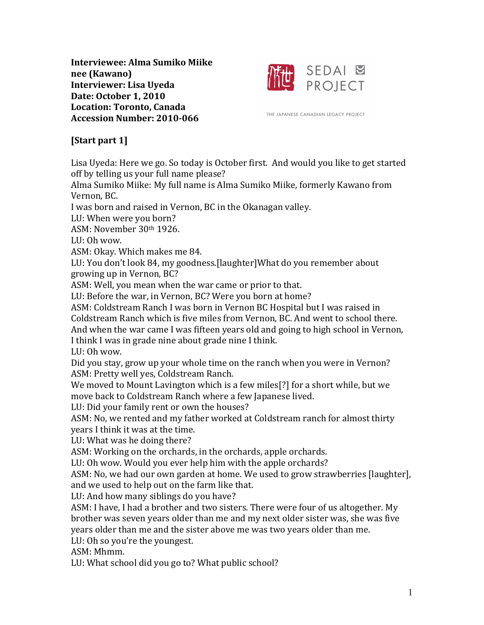**Interviewee: Alma Sumiko Miike nee (Kawano) Interviewer: Lisa Uyeda Date: October 1, 2010 Location: Toronto, Canada Accession Number: 2010-066**



THE JAPANESE CANADIAN LEGACY PROJECT

# **[Start part 1]**

Lisa Uyeda: Here we go. So today is October first. And would you like to get started off by telling us your full name please?

Alma Sumiko Miike: My full name is Alma Sumiko Miike, formerly Kawano from Vernon, BC.

I was born and raised in Vernon, BC in the Okanagan valley.

LU: When were you born?

ASM: November 30th 1926.

 $LU \cdot Oh$  wow.

ASM: Okay. Which makes me 84.

LU: You don't look 84, my goodness.[laughter]What do you remember about growing up in Vernon, BC?

ASM: Well, you mean when the war came or prior to that.

LU: Before the war, in Vernon, BC? Were you born at home?

ASM: Coldstream Ranch I was born in Vernon BC Hospital but I was raised in Coldstream Ranch which is five miles from Vernon, BC. And went to school there.

And when the war came I was fifteen years old and going to high school in Vernon,

I think I was in grade nine about grade nine I think.

LU:  $Oh$  wow.

Did you stay, grow up your whole time on the ranch when you were in Vernon? ASM: Pretty well yes, Coldstream Ranch.

We moved to Mount Lavington which is a few miles<sup>[?]</sup> for a short while, but we move back to Coldstream Ranch where a few Japanese lived.

LU: Did your family rent or own the houses?

ASM: No, we rented and my father worked at Coldstream ranch for almost thirty vears I think it was at the time.

LU: What was he doing there?

ASM: Working on the orchards, in the orchards, apple orchards.

LU: Oh wow. Would you ever help him with the apple orchards?

ASM: No, we had our own garden at home. We used to grow strawberries [laughter], and we used to help out on the farm like that.

LU: And how many siblings do you have?

ASM: I have, I had a brother and two sisters. There were four of us altogether. My brother was seven vears older than me and my next older sister was, she was five years older than me and the sister above me was two years older than me.

LU: Oh so you're the youngest.

ASM: Mhmm.

LU: What school did you go to? What public school?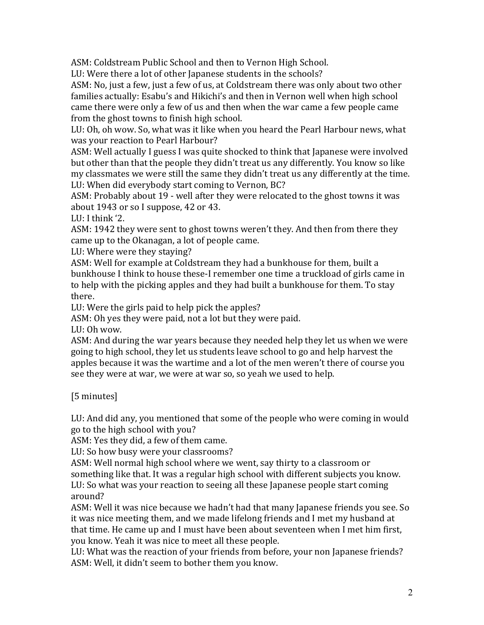ASM: Coldstream Public School and then to Vernon High School.

LU: Were there a lot of other Japanese students in the schools?

ASM: No, just a few, just a few of us, at Coldstream there was only about two other families actually: Esabu's and Hikichi's and then in Vernon well when high school came there were only a few of us and then when the war came a few people came from the ghost towns to finish high school.

LU: Oh, oh wow. So, what was it like when you heard the Pearl Harbour news, what was vour reaction to Pearl Harbour?

ASM: Well actually I guess I was quite shocked to think that Japanese were involved but other than that the people they didn't treat us any differently. You know so like my classmates we were still the same they didn't treat us any differently at the time. LU: When did everybody start coming to Vernon, BC?

ASM: Probably about 19 - well after they were relocated to the ghost towns it was about  $1943$  or so I suppose,  $42$  or  $43$ .

LU: I think  $'2$ .

ASM: 1942 they were sent to ghost towns weren't they. And then from there they came up to the Okanagan, a lot of people came.

LU: Where were they staying?

ASM: Well for example at Coldstream they had a bunkhouse for them, built a bunkhouse I think to house these-I remember one time a truckload of girls came in to help with the picking apples and they had built a bunkhouse for them. To stay there.

LU: Were the girls paid to help pick the apples?

ASM: Oh yes they were paid, not a lot but they were paid.

LU:  $Oh$  wow.

ASM: And during the war years because they needed help they let us when we were going to high school, they let us students leave school to go and help harvest the apples because it was the wartime and a lot of the men weren't there of course you see they were at war, we were at war so, so yeah we used to help.

[5 minutes]

LU: And did any, you mentioned that some of the people who were coming in would go to the high school with you?

ASM: Yes they did, a few of them came.

LU: So how busy were your classrooms?

ASM: Well normal high school where we went, say thirty to a classroom or something like that. It was a regular high school with different subjects you know. LU: So what was your reaction to seeing all these Japanese people start coming around?

ASM: Well it was nice because we hadn't had that many Japanese friends you see. So it was nice meeting them, and we made lifelong friends and I met my husband at that time. He came up and I must have been about seventeen when I met him first, you know. Yeah it was nice to meet all these people.

LU: What was the reaction of your friends from before, your non Japanese friends? ASM: Well, it didn't seem to bother them you know.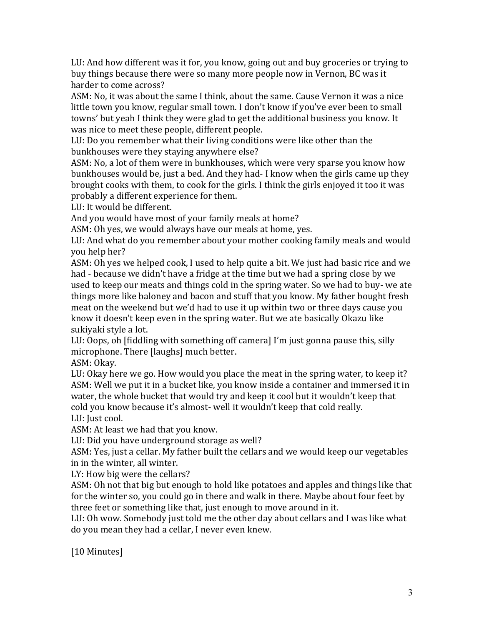LU: And how different was it for, you know, going out and buy groceries or trying to buy things because there were so many more people now in Vernon, BC was it harder to come across?

ASM: No, it was about the same I think, about the same. Cause Vernon it was a nice little town you know, regular small town. I don't know if you've ever been to small towns' but yeah I think they were glad to get the additional business you know. It was nice to meet these people, different people.

LU: Do you remember what their living conditions were like other than the bunkhouses were they staying anywhere else?

ASM: No, a lot of them were in bunkhouses, which were very sparse you know how bunkhouses would be, just a bed. And they had- I know when the girls came up they brought cooks with them, to cook for the girls. I think the girls enjoyed it too it was probably a different experience for them.

LU: It would be different.

And you would have most of your family meals at home?

ASM: Oh yes, we would always have our meals at home, yes.

LU: And what do you remember about your mother cooking family meals and would you help her?

ASM: Oh yes we helped cook, I used to help quite a bit. We just had basic rice and we had - because we didn't have a fridge at the time but we had a spring close by we used to keep our meats and things cold in the spring water. So we had to buy- we ate things more like baloney and bacon and stuff that you know. My father bought fresh meat on the weekend but we'd had to use it up within two or three days cause you know it doesn't keep even in the spring water. But we ate basically Okazu like sukiyaki style a lot.

LU: Oops, oh [fiddling with something off camera] I'm just gonna pause this, silly microphone. There [laughs] much better.

ASM: Okav.

LU: Okay here we go. How would you place the meat in the spring water, to keep it? ASM: Well we put it in a bucket like, you know inside a container and immersed it in water, the whole bucket that would try and keep it cool but it wouldn't keep that cold you know because it's almost- well it wouldn't keep that cold really. LU: Just cool.

ASM: At least we had that you know.

LU: Did you have underground storage as well?

ASM: Yes, just a cellar. My father built the cellars and we would keep our vegetables in in the winter, all winter.

LY: How big were the cellars?

ASM: Oh not that big but enough to hold like potatoes and apples and things like that for the winter so, you could go in there and walk in there. Maybe about four feet by three feet or something like that, just enough to move around in it.

LU: Oh wow. Somebody just told me the other day about cellars and I was like what do you mean they had a cellar, I never even knew.

[10 Minutes]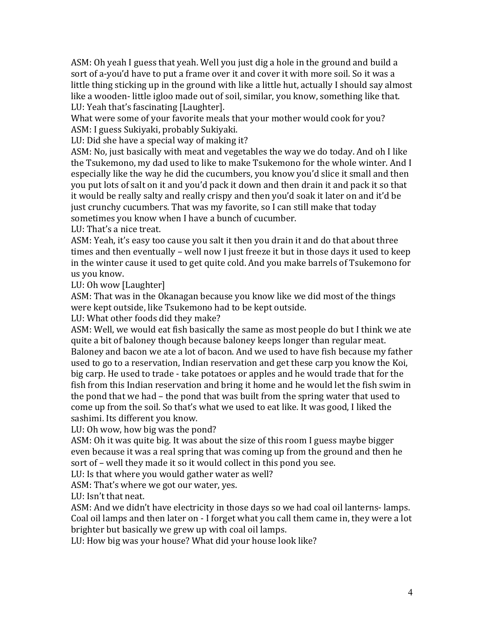ASM: Oh yeah I guess that yeah. Well you just dig a hole in the ground and build a sort of a-you'd have to put a frame over it and cover it with more soil. So it was a little thing sticking up in the ground with like a little hut, actually I should say almost like a wooden- little igloo made out of soil, similar, you know, something like that. LU: Yeah that's fascinating [Laughter].

What were some of your favorite meals that your mother would cook for you? ASM: I guess Sukiyaki, probably Sukiyaki.

LU: Did she have a special way of making it?

ASM: No, just basically with meat and vegetables the way we do today. And oh I like the Tsukemono, my dad used to like to make Tsukemono for the whole winter. And I especially like the way he did the cucumbers, you know you'd slice it small and then you put lots of salt on it and you'd pack it down and then drain it and pack it so that it would be really salty and really crispy and then you'd soak it later on and it'd be just crunchy cucumbers. That was my favorite, so I can still make that today sometimes you know when I have a bunch of cucumber.

LU: That's a nice treat.

ASM: Yeah, it's easy too cause you salt it then you drain it and do that about three times and then eventually – well now I just freeze it but in those days it used to keep in the winter cause it used to get quite cold. And you make barrels of Tsukemono for us vou know.

LU: Oh wow [Laughter]

ASM: That was in the Okanagan because you know like we did most of the things were kept outside, like Tsukemono had to be kept outside.

LU: What other foods did they make?

ASM: Well, we would eat fish basically the same as most people do but I think we ate quite a bit of baloney though because baloney keeps longer than regular meat. Baloney and bacon we ate a lot of bacon. And we used to have fish because my father used to go to a reservation, Indian reservation and get these carp you know the Koi, big carp. He used to trade - take potatoes or apples and he would trade that for the fish from this Indian reservation and bring it home and he would let the fish swim in the pond that we had – the pond that was built from the spring water that used to come up from the soil. So that's what we used to eat like. It was good, I liked the sashimi. Its different you know.

LU: Oh wow, how big was the pond?

ASM: Oh it was quite big. It was about the size of this room I guess maybe bigger even because it was a real spring that was coming up from the ground and then he sort of – well they made it so it would collect in this pond you see.

LU: Is that where you would gather water as well?

ASM: That's where we got our water, yes.

LU: Isn't that neat.

ASM: And we didn't have electricity in those days so we had coal oil lanterns- lamps. Coal oil lamps and then later on - I forget what you call them came in, they were a lot brighter but basically we grew up with coal oil lamps.

LU: How big was your house? What did your house look like?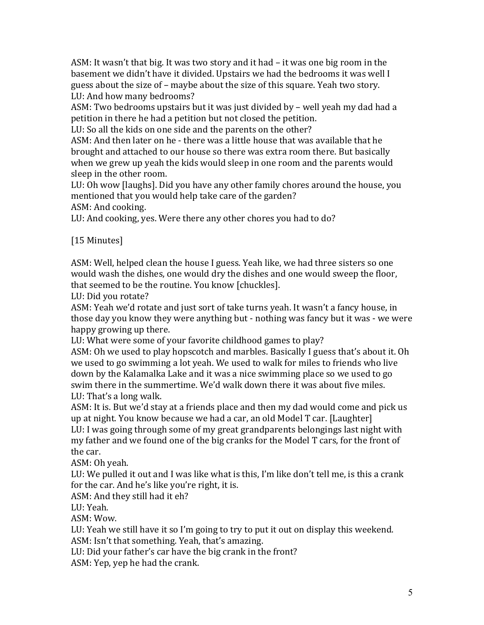ASM: It wasn't that big. It was two story and it had - it was one big room in the basement we didn't have it divided. Upstairs we had the bedrooms it was well I guess about the size of – maybe about the size of this square. Yeah two story. LU: And how many bedrooms?

ASM: Two bedrooms upstairs but it was just divided by – well yeah my dad had a petition in there he had a petition but not closed the petition.

LU: So all the kids on one side and the parents on the other?

ASM: And then later on he - there was a little house that was available that he brought and attached to our house so there was extra room there. But basically when we grew up yeah the kids would sleep in one room and the parents would sleep in the other room.

LU: Oh wow [laughs]. Did you have any other family chores around the house, you mentioned that you would help take care of the garden?

ASM: And cooking.

LU: And cooking, yes. Were there any other chores you had to do?

[15 Minutes]

ASM: Well, helped clean the house I guess. Yeah like, we had three sisters so one would wash the dishes, one would dry the dishes and one would sweep the floor, that seemed to be the routine. You know [chuckles].

LU: Did vou rotate?

ASM: Yeah we'd rotate and just sort of take turns yeah. It wasn't a fancy house, in those day you know they were anything but - nothing was fancy but it was - we were happy growing up there.

LU: What were some of your favorite childhood games to play?

ASM: Oh we used to play hopscotch and marbles. Basically I guess that's about it. Oh we used to go swimming a lot yeah. We used to walk for miles to friends who live down by the Kalamalka Lake and it was a nice swimming place so we used to go swim there in the summertime. We'd walk down there it was about five miles. LU: That's a long walk.

ASM: It is. But we'd stay at a friends place and then my dad would come and pick us up at night. You know because we had a car, an old Model T car. [Laughter] LU: I was going through some of my great grandparents belongings last night with my father and we found one of the big cranks for the Model T cars, for the front of the car.

ASM: Oh veah.

LU: We pulled it out and I was like what is this, I'm like don't tell me, is this a crank for the car. And he's like you're right, it is.

ASM: And they still had it eh?

LU: Yeah.

ASM: Wow.

LU: Yeah we still have it so I'm going to try to put it out on display this weekend. ASM: Isn't that something. Yeah, that's amazing.

LU: Did your father's car have the big crank in the front?

ASM: Yep, yep he had the crank.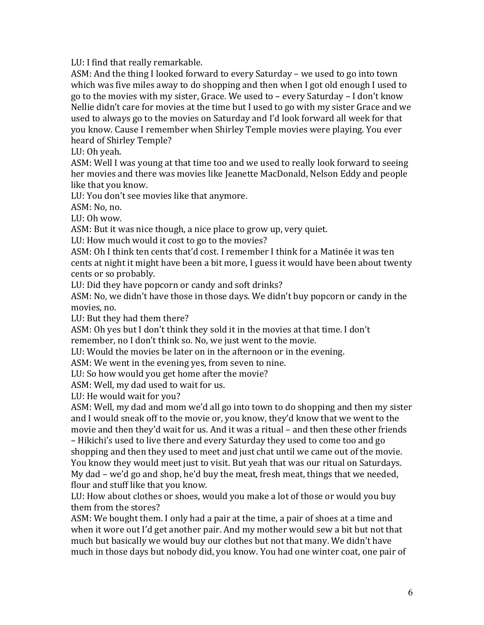LU: I find that really remarkable.

ASM: And the thing I looked forward to every Saturday – we used to go into town which was five miles away to do shopping and then when I got old enough I used to go to the movies with my sister, Grace. We used to – every Saturday – I don't know Nellie didn't care for movies at the time but I used to go with my sister Grace and we used to always go to the movies on Saturday and I'd look forward all week for that you know. Cause I remember when Shirley Temple movies were playing. You ever heard of Shirley Temple?

LU: Oh yeah.

ASM: Well I was young at that time too and we used to really look forward to seeing her movies and there was movies like Jeanette MacDonald, Nelson Eddy and people like that you know.

LU: You don't see movies like that anymore.

ASM: No, no.

LU:  $Oh$  wow.

ASM: But it was nice though, a nice place to grow up, very quiet.

LU: How much would it cost to go to the movies?

ASM: Oh I think ten cents that'd cost. I remember I think for a Matinée it was ten cents at night it might have been a bit more, I guess it would have been about twenty cents or so probably.

LU: Did they have popcorn or candy and soft drinks?

ASM: No, we didn't have those in those days. We didn't buy popcorn or candy in the movies, no.

LU: But they had them there?

ASM: Oh yes but I don't think they sold it in the movies at that time. I don't remember, no I don't think so. No, we just went to the movie.

LU: Would the movies be later on in the afternoon or in the evening.

ASM: We went in the evening ves, from seven to nine.

LU: So how would you get home after the movie?

ASM: Well, my dad used to wait for us.

LU: He would wait for you?

ASM: Well, my dad and mom we'd all go into town to do shopping and then my sister and I would sneak off to the movie or, you know, they'd know that we went to the movie and then they'd wait for us. And it was a ritual – and then these other friends – Hikichi's used to live there and every Saturday they used to come too and go shopping and then they used to meet and just chat until we came out of the movie. You know they would meet just to visit. But yeah that was our ritual on Saturdays. My dad – we'd go and shop, he'd buy the meat, fresh meat, things that we needed, flour and stuff like that you know.

LU: How about clothes or shoes, would you make a lot of those or would you buy them from the stores?

ASM: We bought them. I only had a pair at the time, a pair of shoes at a time and when it wore out I'd get another pair. And my mother would sew a bit but not that much but basically we would buy our clothes but not that many. We didn't have much in those days but nobody did, you know. You had one winter coat, one pair of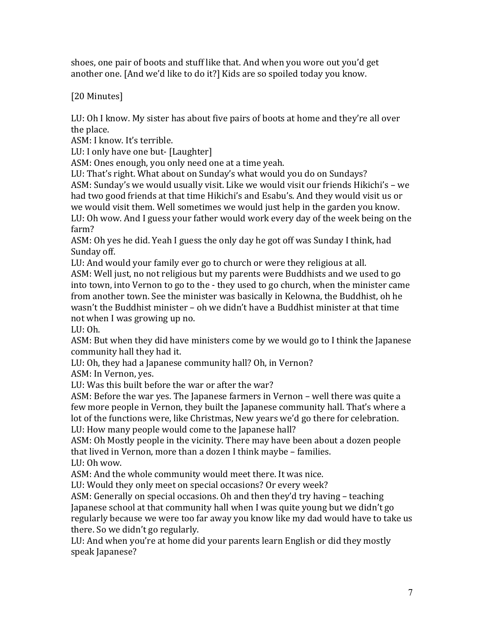shoes, one pair of boots and stuff like that. And when you wore out you'd get another one. [And we'd like to do it?] Kids are so spoiled today you know.

[20 Minutes]

LU: Oh I know. My sister has about five pairs of boots at home and they're all over the place.

ASM: I know. It's terrible.

LU: I only have one but- [Laughter]

ASM: Ones enough, you only need one at a time yeah.

LU: That's right. What about on Sunday's what would you do on Sundays? ASM: Sunday's we would usually visit. Like we would visit our friends Hikichi's - we had two good friends at that time Hikichi's and Esabu's. And they would visit us or we would visit them. Well sometimes we would just help in the garden you know. LU: Oh wow. And I guess your father would work every day of the week being on the farm?

ASM: Oh yes he did. Yeah I guess the only day he got off was Sunday I think, had Sunday off.

LU: And would your family ever go to church or were they religious at all.

ASM: Well just, no not religious but my parents were Buddhists and we used to go into town, into Vernon to go to the - they used to go church, when the minister came from another town. See the minister was basically in Kelowna, the Buddhist, oh he wasn't the Buddhist minister – oh we didn't have a Buddhist minister at that time not when I was growing up no.

 $LI:Oh.$ 

ASM: But when they did have ministers come by we would go to I think the Japanese community hall they had it.

LU: Oh, they had a Japanese community hall? Oh, in Vernon?

ASM: In Vernon, yes.

LU: Was this built before the war or after the war?

ASM: Before the war yes. The Japanese farmers in Vernon – well there was quite a few more people in Vernon, they built the Japanese community hall. That's where a lot of the functions were, like Christmas, New years we'd go there for celebration. LU: How many people would come to the Japanese hall?

ASM: Oh Mostly people in the vicinity. There may have been about a dozen people that lived in Vernon, more than a dozen I think maybe – families.  $LI\cdot Oh$  wow.

ASM: And the whole community would meet there. It was nice.

LU: Would they only meet on special occasions? Or every week?

ASM: Generally on special occasions. Oh and then they'd try having – teaching Japanese school at that community hall when I was quite young but we didn't go regularly because we were too far away you know like my dad would have to take us there. So we didn't go regularly.

LU: And when you're at home did your parents learn English or did they mostly speak Japanese?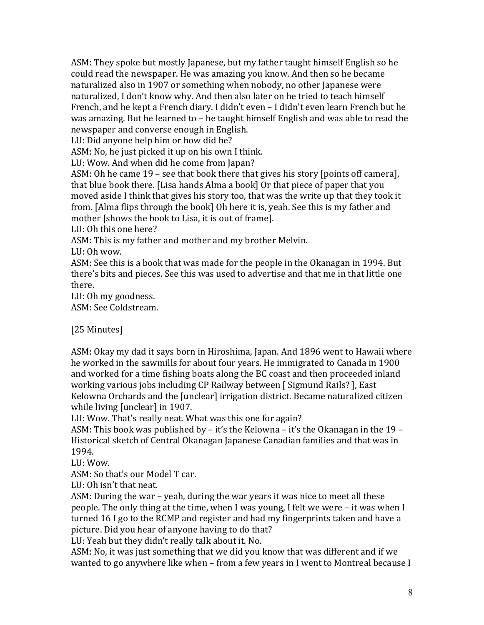ASM: They spoke but mostly Japanese, but my father taught himself English so he could read the newspaper. He was amazing you know. And then so he became naturalized also in 1907 or something when nobody, no other Japanese were naturalized, I don't know why. And then also later on he tried to teach himself French, and he kept a French diary. I didn't even – I didn't even learn French but he was amazing. But he learned to  $-$  he taught himself English and was able to read the newspaper and converse enough in English.

LU: Did anyone help him or how did he?

ASM: No, he just picked it up on his own I think.

LU: Wow. And when did he come from Japan?

ASM: Oh he came 19 – see that book there that gives his story [points off camera], that blue book there. [Lisa hands Alma a book] Or that piece of paper that you moved aside I think that gives his story too, that was the write up that they took it from. [Alma flips through the book] Oh here it is, yeah. See this is my father and mother [shows the book to Lisa, it is out of frame].

LU: Oh this one here?

ASM: This is my father and mother and my brother Melvin.

LU:  $Oh$  wow.

ASM: See this is a book that was made for the people in the Okanagan in 1994. But there's bits and pieces. See this was used to advertise and that me in that little one there.

LU: Oh my goodness.

ASM: See Coldstream.

[25 Minutes]

ASM: Okay my dad it says born in Hiroshima, Japan. And 1896 went to Hawaii where he worked in the sawmills for about four years. He immigrated to Canada in 1900 and worked for a time fishing boats along the BC coast and then proceeded inland working various jobs including CP Railway between [Sigmund Rails? ], East Kelowna Orchards and the [unclear] irrigation district. Became naturalized citizen while living [unclear] in 1907.

LU: Wow. That's really neat. What was this one for again?

ASM: This book was published by – it's the Kelowna – it's the Okanagan in the 19 – Historical sketch of Central Okanagan Japanese Canadian families and that was in 1994.

LU: Wow.

ASM: So that's our Model T car.

LU: Oh isn't that neat.

ASM: During the war – yeah, during the war years it was nice to meet all these people. The only thing at the time, when I was young, I felt we were – it was when I turned 16 I go to the RCMP and register and had my fingerprints taken and have a picture. Did you hear of anyone having to do that?

LU: Yeah but they didn't really talk about it. No.

ASM: No, it was just something that we did you know that was different and if we wanted to go anywhere like when  $-$  from a few years in I went to Montreal because I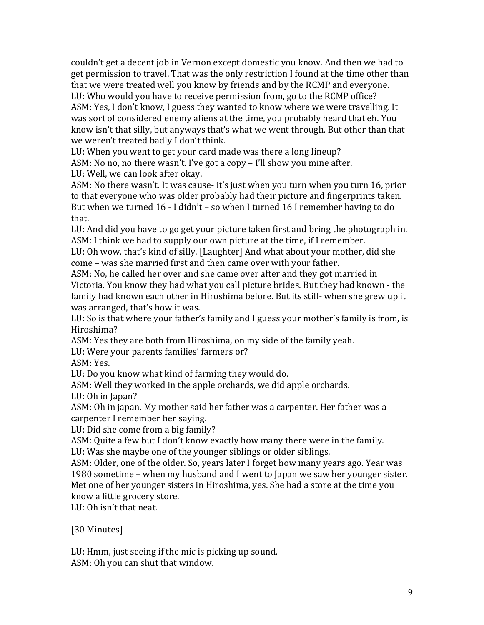couldn't get a decent job in Vernon except domestic you know. And then we had to get permission to travel. That was the only restriction I found at the time other than that we were treated well you know by friends and by the RCMP and everyone. LU: Who would you have to receive permission from, go to the RCMP office?

ASM: Yes, I don't know, I guess they wanted to know where we were travelling. It was sort of considered enemy aliens at the time, you probably heard that eh. You know isn't that silly, but anyways that's what we went through. But other than that we weren't treated badly I don't think.

LU: When you went to get your card made was there a long lineup?

ASM: No no, no there wasn't. I've got a copy – I'll show you mine after.

LU: Well, we can look after okay.

ASM: No there wasn't. It was cause- it's just when you turn when you turn 16, prior to that everyone who was older probably had their picture and fingerprints taken. But when we turned  $16 - I$  didn't – so when I turned  $16$  I remember having to do that.

LU: And did you have to go get your picture taken first and bring the photograph in. ASM: I think we had to supply our own picture at the time, if I remember.

LU: Oh wow, that's kind of silly. [Laughter] And what about your mother, did she come – was she married first and then came over with your father.

ASM: No, he called her over and she came over after and they got married in Victoria. You know they had what you call picture brides. But they had known - the family had known each other in Hiroshima before. But its still- when she grew up it was arranged, that's how it was.

LU: So is that where your father's family and I guess your mother's family is from, is Hiroshima?

ASM: Yes they are both from Hiroshima, on my side of the family yeah.

LU: Were your parents families' farmers or?

ASM: Yes.

LU: Do you know what kind of farming they would do.

ASM: Well they worked in the apple orchards, we did apple orchards.

LU: Oh in Japan?

ASM: Oh in japan. My mother said her father was a carpenter. Her father was a carpenter I remember her saying.

LU: Did she come from a big family?

ASM: Quite a few but I don't know exactly how many there were in the family. LU: Was she maybe one of the younger siblings or older siblings.

ASM: Older, one of the older. So, years later I forget how many years ago. Year was 1980 sometime – when my husband and I went to Japan we saw her younger sister. Met one of her younger sisters in Hiroshima, yes. She had a store at the time you

know a little grocery store.

LU: Oh isn't that neat.

[30 Minutes]

LU: Hmm, just seeing if the mic is picking up sound.

ASM: Oh you can shut that window.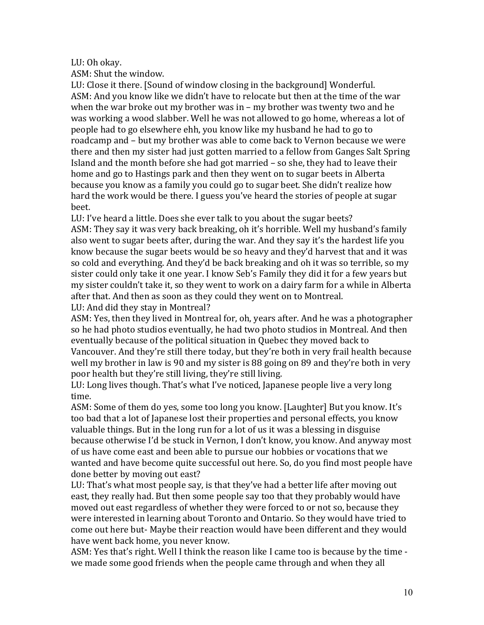#### LU: Oh okay.

ASM: Shut the window.

LU: Close it there. [Sound of window closing in the background] Wonderful. ASM: And you know like we didn't have to relocate but then at the time of the war when the war broke out my brother was in – my brother was twenty two and he was working a wood slabber. Well he was not allowed to go home, whereas a lot of people had to go elsewhere ehh, you know like my husband he had to go to roadcamp and – but my brother was able to come back to Vernon because we were there and then my sister had just gotten married to a fellow from Ganges Salt Spring Island and the month before she had got married  $-$  so she, they had to leave their home and go to Hastings park and then they went on to sugar beets in Alberta because you know as a family you could go to sugar beet. She didn't realize how hard the work would be there. I guess you've heard the stories of people at sugar beet.

LU: I've heard a little. Does she ever talk to you about the sugar beets? ASM: They say it was very back breaking, oh it's horrible. Well my husband's family also went to sugar beets after, during the war. And they say it's the hardest life you know because the sugar beets would be so heavy and they'd harvest that and it was so cold and everything. And they'd be back breaking and oh it was so terrible, so my sister could only take it one year. I know Seb's Family they did it for a few years but my sister couldn't take it, so they went to work on a dairy farm for a while in Alberta after that. And then as soon as they could they went on to Montreal. LU: And did they stay in Montreal?

ASM: Yes, then they lived in Montreal for, oh, years after. And he was a photographer so he had photo studios eventually, he had two photo studios in Montreal. And then eventually because of the political situation in Quebec they moved back to Vancouver. And they're still there today, but they're both in very frail health because well my brother in law is 90 and my sister is 88 going on 89 and they're both in very poor health but they're still living, they're still living.

LU: Long lives though. That's what I've noticed, Japanese people live a very long time.

ASM: Some of them do yes, some too long you know. [Laughter] But you know. It's too bad that a lot of Japanese lost their properties and personal effects, you know valuable things. But in the long run for a lot of us it was a blessing in disguise because otherwise I'd be stuck in Vernon, I don't know, you know. And anyway most of us have come east and been able to pursue our hobbies or vocations that we wanted and have become quite successful out here. So, do you find most people have done better by moving out east?

LU: That's what most people say, is that they've had a better life after moving out east, they really had. But then some people say too that they probably would have moved out east regardless of whether they were forced to or not so, because they were interested in learning about Toronto and Ontario. So they would have tried to come out here but- Maybe their reaction would have been different and they would have went back home, you never know.

ASM: Yes that's right. Well I think the reason like I came too is because by the time we made some good friends when the people came through and when they all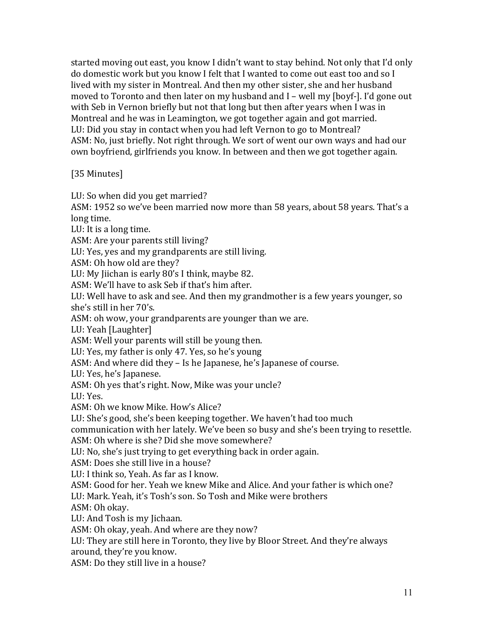started moving out east, you know I didn't want to stay behind. Not only that I'd only do domestic work but you know I felt that I wanted to come out east too and so I lived with my sister in Montreal. And then my other sister, she and her husband moved to Toronto and then later on my husband and  $I$  – well my [boyf-]. I'd gone out with Seb in Vernon briefly but not that long but then after years when I was in Montreal and he was in Leamington, we got together again and got married. LU: Did you stay in contact when you had left Vernon to go to Montreal? ASM: No, just briefly. Not right through. We sort of went our own ways and had our own boyfriend, girlfriends you know. In between and then we got together again.

# [35 Minutes]

LU: So when did you get married?

ASM: 1952 so we've been married now more than 58 years, about 58 years. That's a long time.

LU: It is a long time.

ASM: Are your parents still living?

LU: Yes, yes and my grandparents are still living.

ASM: Oh how old are they?

LU: My liichan is early 80's I think, maybe 82.

ASM: We'll have to ask Seb if that's him after.

LU: Well have to ask and see. And then my grandmother is a few years younger, so she's still in her 70's.

ASM: oh wow, your grandparents are younger than we are.

LU: Yeah [Laughter]

ASM: Well your parents will still be young then.

LU: Yes, my father is only 47. Yes, so he's young

ASM: And where did they – Is he Japanese, he's Japanese of course.

LU: Yes, he's Japanese.

ASM: Oh yes that's right. Now, Mike was your uncle?

LU: Yes.

ASM: Oh we know Mike. How's Alice?

LU: She's good, she's been keeping together. We haven't had too much

communication with her lately. We've been so busy and she's been trying to resettle. ASM: Oh where is she? Did she move somewhere?

LU: No, she's just trying to get everything back in order again.

 $ASM: Does$  she still live in a house?

LU: I think so, Yeah. As far as I know.

ASM: Good for her. Yeah we knew Mike and Alice. And your father is which one?

LU: Mark. Yeah, it's Tosh's son. So Tosh and Mike were brothers

ASM: Oh okay.

LU: And Tosh is my lichaan.

ASM: Oh okay, yeah. And where are they now?

LU: They are still here in Toronto, they live by Bloor Street. And they're always around, they're you know.

ASM: Do they still live in a house?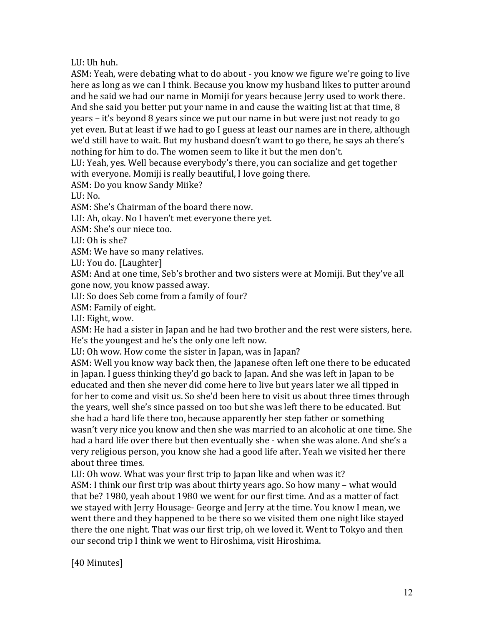# LU: Uh huh.

ASM: Yeah, were debating what to do about - you know we figure we're going to live here as long as we can I think. Because you know my husband likes to putter around and he said we had our name in Momiji for years because Jerry used to work there. And she said you better put your name in and cause the waiting list at that time,  $8$ years – it's beyond 8 years since we put our name in but were just not ready to go yet even. But at least if we had to go I guess at least our names are in there, although we'd still have to wait. But my husband doesn't want to go there, he says ah there's nothing for him to do. The women seem to like it but the men don't.

LU: Yeah, yes. Well because everybody's there, you can socialize and get together with everyone. Momiji is really beautiful, I love going there.

ASM: Do you know Sandy Miike?

LU: No.

ASM: She's Chairman of the board there now.

LU: Ah, okay. No I haven't met everyone there yet.

ASM: She's our niece too.

LU $\cdot$  Oh is she?

ASM: We have so many relatives.

LU: You do. [Laughter]

ASM: And at one time, Seb's brother and two sisters were at Momiji. But they've all gone now, you know passed away.

LU: So does Seb come from a family of four?

ASM: Family of eight.

LU: Eight, wow.

ASM: He had a sister in Japan and he had two brother and the rest were sisters, here. He's the youngest and he's the only one left now.

LU: Oh wow. How come the sister in Japan, was in Japan?

ASM: Well you know way back then, the Japanese often left one there to be educated in Japan. I guess thinking they'd go back to Japan. And she was left in Japan to be educated and then she never did come here to live but years later we all tipped in for her to come and visit us. So she'd been here to visit us about three times through the years, well she's since passed on too but she was left there to be educated. But she had a hard life there too, because apparently her step father or something wasn't very nice you know and then she was married to an alcoholic at one time. She had a hard life over there but then eventually she - when she was alone. And she's a very religious person, you know she had a good life after. Yeah we visited her there about three times

LU: Oh wow. What was your first trip to Japan like and when was it?

ASM: I think our first trip was about thirty years ago. So how many – what would that be? 1980, yeah about 1980 we went for our first time. And as a matter of fact we stayed with Jerry Housage- George and Jerry at the time. You know I mean, we went there and they happened to be there so we visited them one night like stayed there the one night. That was our first trip, oh we loved it. Went to Tokyo and then our second trip I think we went to Hiroshima, visit Hiroshima.

[40 Minutes]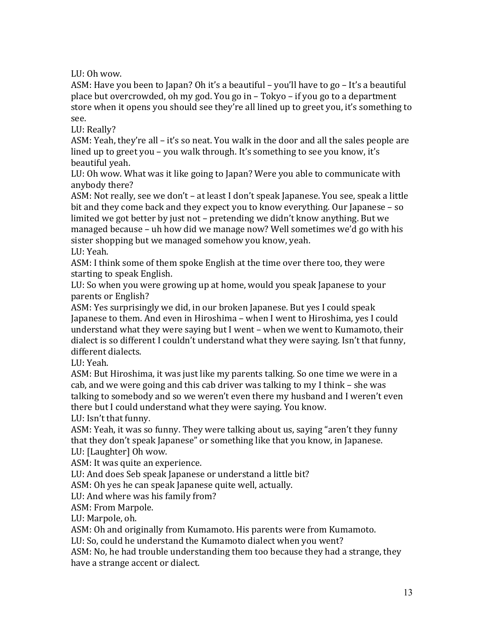LU: Oh wow.

ASM: Have you been to Japan? Oh it's a beautiful – you'll have to go – It's a beautiful place but overcrowded, oh my god. You go in  $-$  Tokyo – if you go to a department store when it opens you should see they're all lined up to greet you, it's something to see.

LU: Really?

ASM: Yeah, they're all  $-$  it's so neat. You walk in the door and all the sales people are lined up to greet you – you walk through. It's something to see you know, it's beautiful veah.

LU: Oh wow. What was it like going to Japan? Were you able to communicate with anybody there?

ASM: Not really, see we don't – at least I don't speak Japanese. You see, speak a little bit and they come back and they expect you to know everything. Our Japanese – so limited we got better by just not – pretending we didn't know anything. But we managed because – uh how did we manage now? Well sometimes we'd go with his sister shopping but we managed somehow you know, yeah.

LU: Yeah.

ASM: I think some of them spoke English at the time over there too, they were starting to speak English.

LU: So when you were growing up at home, would you speak Japanese to your parents or English?

ASM: Yes surprisingly we did, in our broken Japanese. But yes I could speak Japanese to them. And even in Hiroshima – when I went to Hiroshima, ves I could understand what they were saying but I went – when we went to Kumamoto, their dialect is so different I couldn't understand what they were saying. Isn't that funny, different dialects.

LU: Yeah.

ASM: But Hiroshima, it was just like my parents talking. So one time we were in a cab, and we were going and this cab driver was talking to my I think  $-$  she was talking to somebody and so we weren't even there my husband and I weren't even there but I could understand what they were saying. You know.

LU: Isn't that funny.

ASM: Yeah, it was so funny. They were talking about us, saying "aren't they funny that they don't speak Japanese" or something like that you know, in Japanese. LU: [Laughter] Oh wow.

ASM: It was quite an experience.

LU: And does Seb speak Japanese or understand a little bit?

ASM: Oh yes he can speak Japanese quite well, actually.

LU: And where was his family from?

ASM: From Marpole.

LU: Marpole, oh.

ASM: Oh and originally from Kumamoto. His parents were from Kumamoto.

LU: So, could he understand the Kumamoto dialect when you went?

ASM: No, he had trouble understanding them too because they had a strange, they have a strange accent or dialect.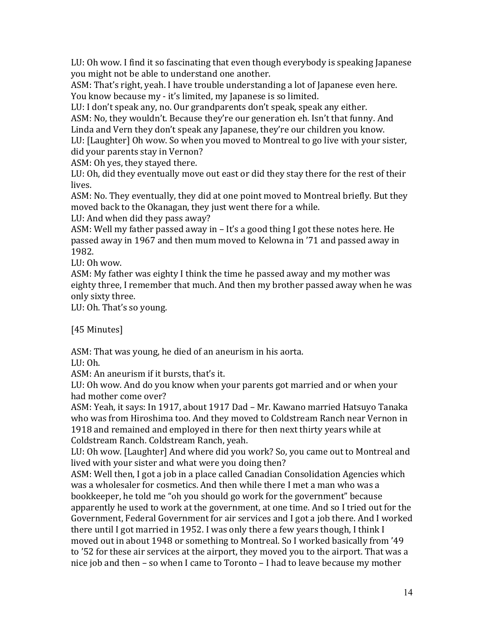LU: Oh wow. I find it so fascinating that even though everybody is speaking Japanese you might not be able to understand one another.

ASM: That's right, yeah. I have trouble understanding a lot of Japanese even here. You know because my - it's limited, my Japanese is so limited.

LU: I don't speak any, no. Our grandparents don't speak, speak any either.

ASM: No, they wouldn't. Because they're our generation eh. Isn't that funny. And Linda and Vern they don't speak any Japanese, they're our children you know.

LU: [Laughter] Oh wow. So when you moved to Montreal to go live with your sister, did vour parents stay in Vernon?

ASM: Oh yes, they stayed there.

LU: Oh, did they eventually move out east or did they stay there for the rest of their lives.

ASM: No. They eventually, they did at one point moved to Montreal briefly. But they moved back to the Okanagan, they just went there for a while.

LU: And when did they pass away?

ASM: Well my father passed away in  $-$  It's a good thing I got these notes here. He passed away in 1967 and then mum moved to Kelowna in '71 and passed away in 1982.

LU: Oh wow.

ASM: My father was eighty I think the time he passed away and my mother was eighty three, I remember that much. And then my brother passed away when he was only sixty three.

LU: Oh. That's so young.

[45 Minutes]

ASM: That was young, he died of an aneurism in his aorta.

 $LI:Oh.$ 

ASM: An aneurism if it bursts, that's it.

LU: Oh wow. And do you know when your parents got married and or when your had mother come over?

ASM: Yeah, it says: In 1917, about 1917 Dad - Mr. Kawano married Hatsuyo Tanaka who was from Hiroshima too. And they moved to Coldstream Ranch near Vernon in 1918 and remained and employed in there for then next thirty years while at Coldstream Ranch. Coldstream Ranch, yeah.

LU: Oh wow. [Laughter] And where did you work? So, you came out to Montreal and lived with your sister and what were you doing then?

ASM: Well then, I got a job in a place called Canadian Consolidation Agencies which was a wholesaler for cosmetics. And then while there I met a man who was a bookkeeper, he told me "oh you should go work for the government" because apparently he used to work at the government, at one time. And so I tried out for the Government, Federal Government for air services and I got a job there. And I worked there until I got married in 1952. I was only there a few years though, I think I moved out in about 1948 or something to Montreal. So I worked basically from '49 to '52 for these air services at the airport, they moved you to the airport. That was a nice job and then – so when I came to Toronto – I had to leave because my mother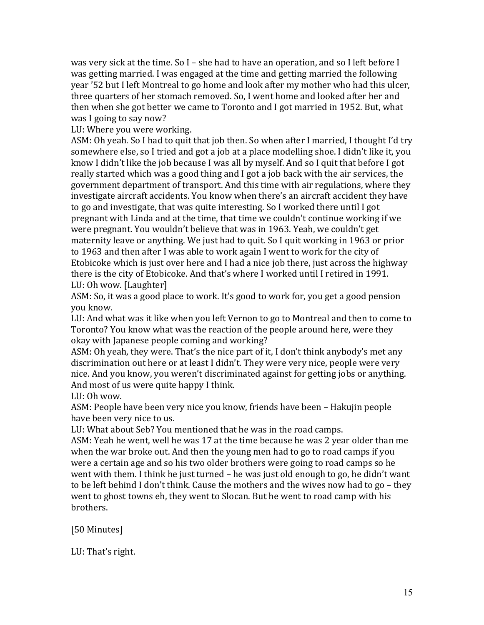was very sick at the time. So I – she had to have an operation, and so I left before I was getting married. I was engaged at the time and getting married the following year '52 but I left Montreal to go home and look after my mother who had this ulcer, three quarters of her stomach removed. So, I went home and looked after her and then when she got better we came to Toronto and I got married in 1952. But, what was I going to say now?

LU: Where you were working.

ASM: Oh yeah. So I had to quit that job then. So when after I married, I thought I'd try somewhere else, so I tried and got a job at a place modelling shoe. I didn't like it, you know I didn't like the job because I was all by myself. And so I quit that before I got really started which was a good thing and I got a job back with the air services, the government department of transport. And this time with air regulations, where they investigate aircraft accidents. You know when there's an aircraft accident they have to go and investigate, that was quite interesting. So I worked there until I got pregnant with Linda and at the time, that time we couldn't continue working if we were pregnant. You wouldn't believe that was in 1963. Yeah, we couldn't get maternity leave or anything. We just had to quit. So I quit working in 1963 or prior to 1963 and then after I was able to work again I went to work for the city of Etobicoke which is just over here and I had a nice job there, just across the highway there is the city of Etobicoke. And that's where I worked until I retired in 1991. LU: Oh wow. [Laughter]

ASM: So, it was a good place to work. It's good to work for, you get a good pension you know.

LU: And what was it like when you left Vernon to go to Montreal and then to come to Toronto? You know what was the reaction of the people around here, were they okay with Japanese people coming and working?

ASM: Oh yeah, they were. That's the nice part of it, I don't think anybody's met any discrimination out here or at least I didn't. They were very nice, people were very nice. And you know, you weren't discriminated against for getting jobs or anything. And most of us were quite happy I think.

LU: Oh wow.

ASM: People have been very nice you know, friends have been – Hakujin people have been very nice to us.

LU: What about Seb? You mentioned that he was in the road camps.

ASM: Yeah he went, well he was 17 at the time because he was 2 year older than me when the war broke out. And then the young men had to go to road camps if you were a certain age and so his two older brothers were going to road camps so he went with them. I think he just turned  $-$  he was just old enough to go, he didn't want to be left behind I don't think. Cause the mothers and the wives now had to go – they went to ghost towns eh, they went to Slocan. But he went to road camp with his brothers.

[50 Minutes]

LU: That's right.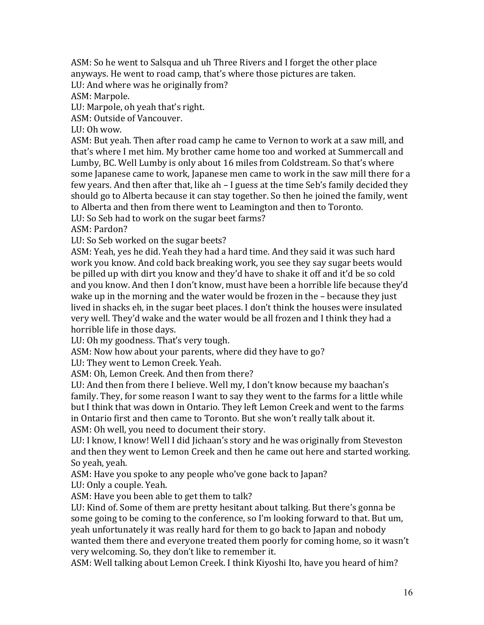ASM: So he went to Salsqua and uh Three Rivers and I forget the other place anyways. He went to road camp, that's where those pictures are taken.

LU: And where was he originally from?

ASM: Marpole.

LU: Marpole, oh yeah that's right.

ASM: Outside of Vancouver.

LU:  $Oh$  wow.

ASM: But yeah. Then after road camp he came to Vernon to work at a saw mill, and that's where I met him. My brother came home too and worked at Summercall and Lumby, BC. Well Lumby is only about 16 miles from Coldstream. So that's where some Japanese came to work, Japanese men came to work in the saw mill there for a few years. And then after that, like ah  $-1$  guess at the time Seb's family decided they should go to Alberta because it can stay together. So then he joined the family, went to Alberta and then from there went to Leamington and then to Toronto.

LU: So Seb had to work on the sugar beet farms?

ASM: Pardon?

LU: So Seb worked on the sugar beets?

ASM: Yeah, yes he did. Yeah they had a hard time. And they said it was such hard work you know. And cold back breaking work, you see they say sugar beets would be pilled up with dirt you know and they'd have to shake it off and it'd be so cold and you know. And then I don't know, must have been a horrible life because they'd wake up in the morning and the water would be frozen in the  $-$  because they just lived in shacks eh, in the sugar beet places. I don't think the houses were insulated very well. They'd wake and the water would be all frozen and I think they had a horrible life in those days.

LU: Oh my goodness. That's very tough.

ASM: Now how about your parents, where did they have to go?

LU: They went to Lemon Creek. Yeah.

ASM: Oh, Lemon Creek. And then from there?

LU: And then from there I believe. Well my, I don't know because my baachan's family. They, for some reason I want to say they went to the farms for a little while but I think that was down in Ontario. They left Lemon Creek and went to the farms in Ontario first and then came to Toronto. But she won't really talk about it. ASM: Oh well, you need to document their story.

LU: I know, I know! Well I did Jichaan's story and he was originally from Steveston and then they went to Lemon Creek and then he came out here and started working. So yeah, yeah.

ASM: Have you spoke to any people who've gone back to Japan?

LU: Only a couple. Yeah.

ASM: Have you been able to get them to talk?

LU: Kind of. Some of them are pretty hesitant about talking. But there's gonna be some going to be coming to the conference, so I'm looking forward to that. But um, yeah unfortunately it was really hard for them to go back to Japan and nobody wanted them there and everyone treated them poorly for coming home, so it wasn't very welcoming. So, they don't like to remember it.

ASM: Well talking about Lemon Creek. I think Kiyoshi Ito, have you heard of him?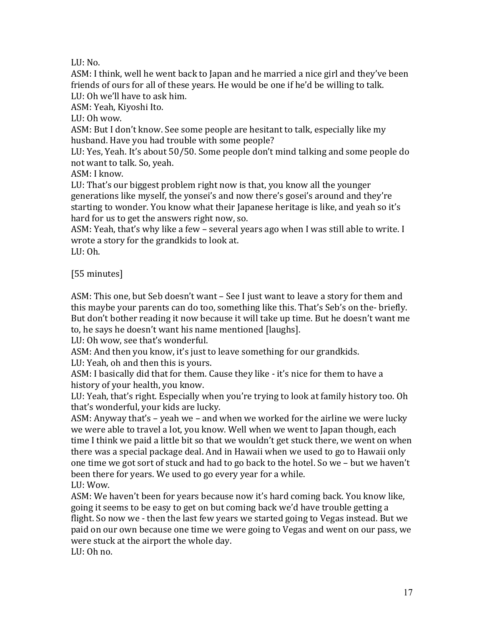LU:  $No.$ 

ASM: I think, well he went back to Japan and he married a nice girl and they've been friends of ours for all of these years. He would be one if he'd be willing to talk. LU: Oh we'll have to ask him.

ASM: Yeah, Kiyoshi Ito.

LU:  $Oh$  wow.

ASM: But I don't know. See some people are hesitant to talk, especially like my husband. Have you had trouble with some people?

LU: Yes, Yeah. It's about 50/50. Some people don't mind talking and some people do not want to talk. So, yeah.

ASM: I know.

LU: That's our biggest problem right now is that, you know all the younger generations like myself, the yonsei's and now there's gosei's around and they're starting to wonder. You know what their Japanese heritage is like, and yeah so it's hard for us to get the answers right now, so.

ASM: Yeah, that's why like a few – several years ago when I was still able to write. I wrote a story for the grandkids to look at.

 $LU:Oh.$ 

# [55 minutes]

ASM: This one, but Seb doesn't want – See I just want to leave a story for them and this maybe your parents can do too, something like this. That's Seb's on the- briefly. But don't bother reading it now because it will take up time. But he doesn't want me to, he says he doesn't want his name mentioned [laughs].

LU: Oh wow, see that's wonderful.

ASM: And then you know, it's just to leave something for our grandkids.

LU: Yeah, oh and then this is yours.

ASM: I basically did that for them. Cause they like - it's nice for them to have a history of your health, you know.

LU: Yeah, that's right. Especially when you're trying to look at family history too. Oh that's wonderful, your kids are lucky.

ASM: Anyway that's  $-$  yeah we  $-$  and when we worked for the airline we were lucky we were able to travel a lot, you know. Well when we went to Japan though, each time I think we paid a little bit so that we wouldn't get stuck there, we went on when there was a special package deal. And in Hawaii when we used to go to Hawaii only one time we got sort of stuck and had to go back to the hotel. So we – but we haven't been there for years. We used to go every year for a while.

LU: Wow.

ASM: We haven't been for years because now it's hard coming back. You know like, going it seems to be easy to get on but coming back we'd have trouble getting a flight. So now we - then the last few vears we started going to Vegas instead. But we paid on our own because one time we were going to Vegas and went on our pass, we were stuck at the airport the whole day.

LU: Oh no.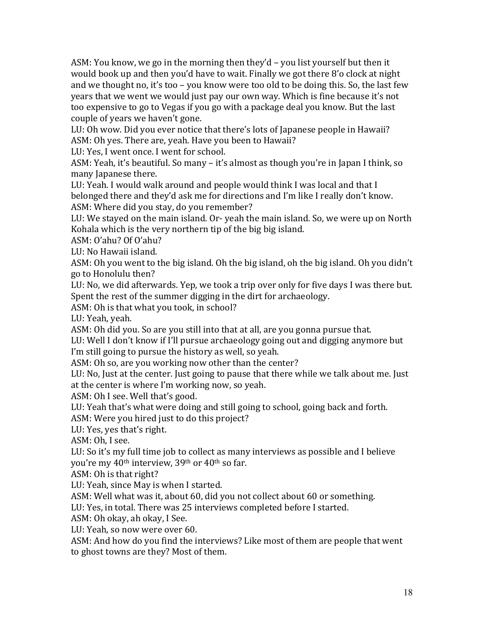ASM: You know, we go in the morning then they'd  $-$  you list yourself but then it would book up and then you'd have to wait. Finally we got there 8'o clock at night and we thought no, it's too – you know were too old to be doing this. So, the last few years that we went we would just pay our own way. Which is fine because it's not too expensive to go to Vegas if you go with a package deal you know. But the last couple of years we haven't gone.

LU: Oh wow. Did vou ever notice that there's lots of Japanese people in Hawaii? ASM: Oh yes. There are, yeah. Have you been to Hawaii?

LU: Yes, I went once. I went for school.

ASM: Yeah, it's beautiful. So many – it's almost as though you're in Japan I think, so many Japanese there.

LU: Yeah. I would walk around and people would think I was local and that I belonged there and they'd ask me for directions and I'm like I really don't know. ASM: Where did you stay, do you remember?

LU: We stayed on the main island. Or- yeah the main island. So, we were up on North Kohala which is the very northern tip of the big big island.

ASM: O'ahu? Of O'ahu?

LU: No Hawaii island.

ASM: Oh you went to the big island. Oh the big island, oh the big island. Oh you didn't go to Honolulu then?

LU: No, we did afterwards. Yep, we took a trip over only for five days I was there but. Spent the rest of the summer digging in the dirt for archaeology.

ASM: Oh is that what you took, in school?

LU: Yeah. veah.

ASM: Oh did you. So are you still into that at all, are you gonna pursue that.

LU: Well I don't know if I'll pursue archaeology going out and digging anymore but I'm still going to pursue the history as well, so veah.

ASM: Oh so, are you working now other than the center?

LU: No, Just at the center. Just going to pause that there while we talk about me. Just at the center is where I'm working now, so yeah.

ASM: Oh I see. Well that's good.

LU: Yeah that's what were doing and still going to school, going back and forth.

ASM: Were you hired just to do this project?

LU: Yes, yes that's right.

ASM: Oh, I see.

LU: So it's my full time job to collect as many interviews as possible and I believe you're my  $40<sup>th</sup>$  interview,  $39<sup>th</sup>$  or  $40<sup>th</sup>$  so far.

ASM: Oh is that right?

LU: Yeah, since May is when I started.

ASM: Well what was it, about 60, did you not collect about 60 or something.

LU: Yes, in total. There was 25 interviews completed before I started.

ASM: Oh okay, ah okay, I See.

LU: Yeah, so now were over 60.

ASM: And how do you find the interviews? Like most of them are people that went to ghost towns are they? Most of them.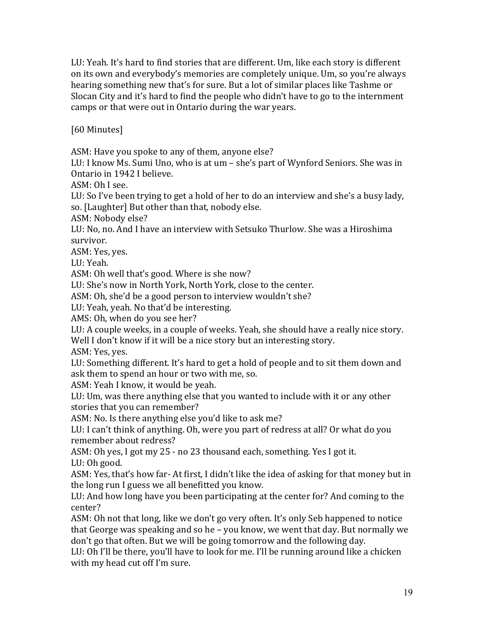LU: Yeah. It's hard to find stories that are different. Um, like each story is different on its own and everybody's memories are completely unique. Um, so you're always hearing something new that's for sure. But a lot of similar places like Tashme or Slocan City and it's hard to find the people who didn't have to go to the internment camps or that were out in Ontario during the war years.

[60 Minutes]

ASM: Have you spoke to any of them, anyone else?

LU: I know Ms. Sumi Uno, who is at um – she's part of Wynford Seniors. She was in Ontario in 1942 I believe.

ASM: Oh I see.

LU: So I've been trying to get a hold of her to do an interview and she's a busy lady, so. [Laughter] But other than that, nobody else.

ASM: Nobody else?

LU: No, no, And I have an interview with Setsuko Thurlow. She was a Hiroshima survivor.

ASM: Yes, yes.

LU: Yeah.

ASM: Oh well that's good. Where is she now?

LU: She's now in North York, North York, close to the center.

ASM: Oh, she'd be a good person to interview wouldn't she?

LU: Yeah, yeah. No that'd be interesting.

AMS: Oh, when do you see her?

LU: A couple weeks, in a couple of weeks. Yeah, she should have a really nice story. Well I don't know if it will be a nice story but an interesting story.

ASM: Yes, yes.

LU: Something different. It's hard to get a hold of people and to sit them down and ask them to spend an hour or two with me, so.

ASM: Yeah I know, it would be yeah.

LU: Um, was there anything else that you wanted to include with it or any other stories that you can remember?

ASM: No. Is there anything else you'd like to ask me?

LU: I can't think of anything. Oh, were you part of redress at all? Or what do you remember about redress?

ASM: Oh yes, I got my 25 - no 23 thousand each, something. Yes I got it. LU: Oh good.

ASM: Yes, that's how far- At first, I didn't like the idea of asking for that money but in the long run I guess we all benefitted you know.

LU: And how long have you been participating at the center for? And coming to the center?

ASM: Oh not that long, like we don't go very often. It's only Seb happened to notice that George was speaking and so he - you know, we went that day. But normally we don't go that often. But we will be going tomorrow and the following day.

LU: Oh I'll be there, you'll have to look for me. I'll be running around like a chicken with my head cut off I'm sure.